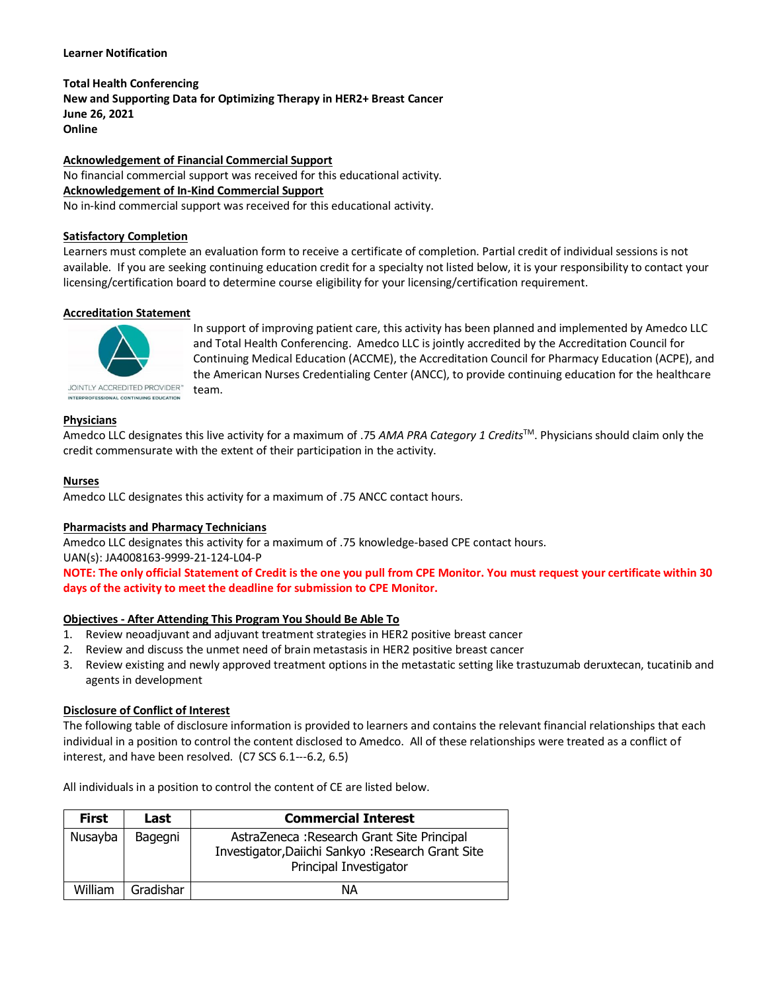### **Learner Notification**

**Total Health Conferencing New and Supporting Data for Optimizing Therapy in HER2+ Breast Cancer June 26, 2021 Online**

**Acknowledgement of Financial Commercial Support** No financial commercial support was received for this educational activity. **Acknowledgement of In-Kind Commercial Support**

# No in-kind commercial support was received for this educational activity.

#### **Satisfactory Completion**

Learners must complete an evaluation form to receive a certificate of completion. Partial credit of individual sessions is not available. If you are seeking continuing education credit for a specialty not listed below, it is your responsibility to contact your licensing/certification board to determine course eligibility for your licensing/certification requirement.

# **Accreditation Statement**



In support of improving patient care, this activity has been planned and implemented by Amedco LLC and Total Health Conferencing. Amedco LLC is jointly accredited by the Accreditation Council for Continuing Medical Education (ACCME), the Accreditation Council for Pharmacy Education (ACPE), and the American Nurses Credentialing Center (ANCC), to provide continuing education for the healthcare team.

# **Physicians**

Amedco LLC designates this live activity for a maximum of .75 *AMA PRA Category 1 Credits*TM. Physicians should claim only the credit commensurate with the extent of their participation in the activity.

#### **Nurses**

Amedco LLC designates this activity for a maximum of .75 ANCC contact hours.

# **Pharmacists and Pharmacy Technicians**

Amedco LLC designates this activity for a maximum of .75 knowledge-based CPE contact hours. UAN(s): JA4008163-9999-21-124-L04-P

**NOTE: The only official Statement of Credit is the one you pull from CPE Monitor. You must request your certificate within 30 days of the activity to meet the deadline for submission to CPE Monitor.**

#### **Objectives - After Attending This Program You Should Be Able To**

- 1. Review neoadjuvant and adjuvant treatment strategies in HER2 positive breast cancer
- 2. Review and discuss the unmet need of brain metastasis in HER2 positive breast cancer
- 3. Review existing and newly approved treatment options in the metastatic setting like trastuzumab deruxtecan, tucatinib and agents in development

#### **Disclosure of Conflict of Interest**

The following table of disclosure information is provided to learners and contains the relevant financial relationships that each individual in a position to control the content disclosed to Amedco. All of these relationships were treated as a conflict of interest, and have been resolved. (C7 SCS 6.1--‐6.2, 6.5)

All individuals in a position to control the content of CE are listed below.

| <b>First</b> | Last      | <b>Commercial Interest</b>                                                                                                |
|--------------|-----------|---------------------------------------------------------------------------------------------------------------------------|
| Nusayba      | Bagegni   | AstraZeneca: Research Grant Site Principal<br>Investigator, Daiichi Sankyo: Research Grant Site<br>Principal Investigator |
| William      | Gradishar | ΝA                                                                                                                        |